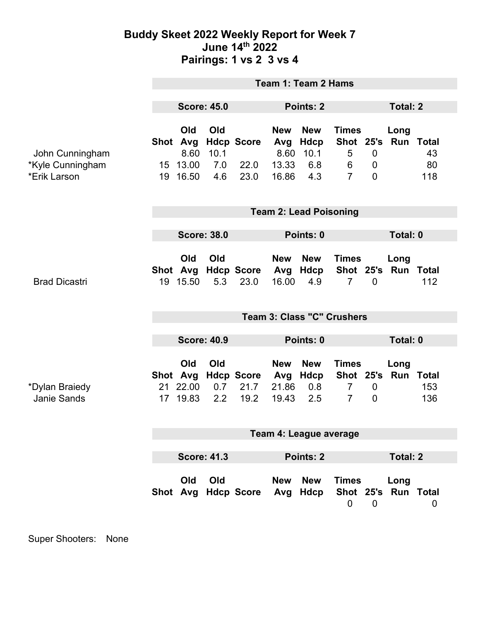## **Buddy Skeet 2022 Weekly Report for Week 7 June 14th 2022 Pairings: 1 vs 2 3 vs 4**

|                                                     | <b>Team 1: Team 2 Hams</b>                         |                                         |                           |                                     |                                             |                                                 |                                                  |                                              |                             |                            |  |
|-----------------------------------------------------|----------------------------------------------------|-----------------------------------------|---------------------------|-------------------------------------|---------------------------------------------|-------------------------------------------------|--------------------------------------------------|----------------------------------------------|-----------------------------|----------------------------|--|
|                                                     | <b>Score: 45.0</b>                                 |                                         |                           |                                     | Points: 2                                   |                                                 |                                                  |                                              | <b>Total: 2</b>             |                            |  |
| John Cunningham<br>*Kyle Cunningham<br>*Erik Larson |                                                    | Old<br>8.60<br>15 13.00<br>19 16.50     | Old<br>10.1<br>7.0<br>4.6 | Shot Avg Hdcp Score<br>22.0<br>23.0 | <b>New</b><br>Avg<br>8.60<br>13.33<br>16.86 | <b>New</b><br><b>Hdcp</b><br>10.1<br>6.8<br>4.3 | <b>Times</b><br>5<br>6<br>$\overline{7}$         | $\mathbf 0$<br>$\mathbf 0$<br>$\overline{0}$ | Long<br>Shot 25's Run Total | 43<br>80<br>118            |  |
|                                                     | <b>Team 2: Lead Poisoning</b>                      |                                         |                           |                                     |                                             |                                                 |                                                  |                                              |                             |                            |  |
|                                                     | <b>Score: 38.0</b><br>Points: 0                    |                                         |                           |                                     |                                             | Total: 0                                        |                                                  |                                              |                             |                            |  |
| <b>Brad Dicastri</b>                                |                                                    | Old<br>19 15.50                         | Old<br>5.3                | Shot Avg Hdcp Score<br>23.0         | <b>New</b><br>Avg<br>16.00                  | <b>New</b><br>Hdcp<br>4.9                       | <b>Times</b><br>$\overline{7}$                   | $\overline{0}$                               | Long<br>Shot 25's Run       | <b>Total</b><br>112        |  |
|                                                     | Team 3: Class "C" Crushers                         |                                         |                           |                                     |                                             |                                                 |                                                  |                                              |                             |                            |  |
|                                                     | <b>Score: 40.9</b>                                 |                                         |                           |                                     | Points: 0                                   |                                                 |                                                  | Total: 0                                     |                             |                            |  |
| *Dylan Braiedy<br><b>Janie Sands</b>                |                                                    | Old<br>Shot Avg<br>21 22.00<br>17 19.83 | Old<br>0.7<br>2.2         | <b>Hdcp Score</b><br>21.7<br>19.2   | <b>New</b><br>Avg<br>21.86<br>19.43         | <b>New</b><br>Hdcp<br>0.8<br>2.5                | <b>Times</b><br>$\overline{7}$<br>$\overline{7}$ | $\mathbf 0$<br>$\mathbf 0$                   | Long<br>Shot 25's Run       | <b>Total</b><br>153<br>136 |  |
|                                                     | Team 4: League average                             |                                         |                           |                                     |                                             |                                                 |                                                  |                                              |                             |                            |  |
|                                                     | <b>Score: 41.3</b><br>Points: 2<br><b>Total: 2</b> |                                         |                           |                                     |                                             |                                                 |                                                  |                                              |                             |                            |  |
|                                                     |                                                    | Old                                     | Old                       | Shot Avg Hdcp Score                 | <b>New</b><br>Avg                           | <b>New</b><br>Hdcp                              | <b>Times</b><br>$\mathbf 0$                      | $\overline{0}$                               | Long<br>Shot 25's Run Total | 0                          |  |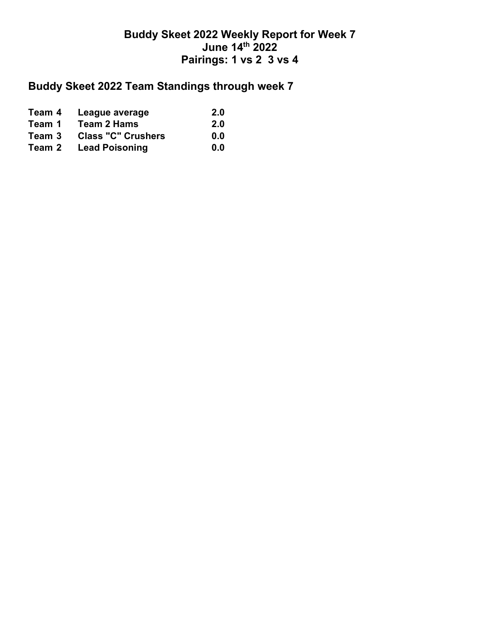## **Buddy Skeet 2022 Weekly Report for Week 7 June 14th 2022 Pairings: 1 vs 2 3 vs 4**

## **Buddy Skeet 2022 Team Standings through week 7**

| Team 4 | League average            | <b>2.0</b> |
|--------|---------------------------|------------|
| Team 1 | Team 2 Hams               | <b>2.0</b> |
| Team 3 | <b>Class "C" Crushers</b> | 0.0        |
| Team 2 | <b>Lead Poisoning</b>     | 0.0        |